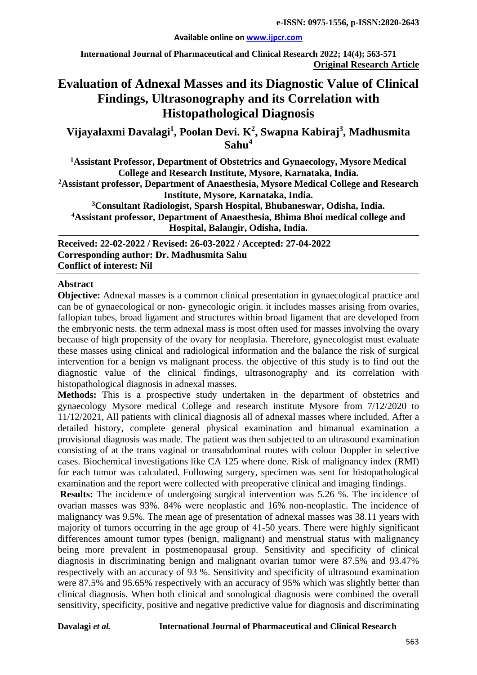#### **Available online on [www.ijpcr.com](http://www.ijpcr.com/)**

**International Journal of Pharmaceutical and Clinical Research 2022; 14(4); 563-571 Original Research Article**

# **Evaluation of Adnexal Masses and its Diagnostic Value of Clinical Findings, Ultrasonography and its Correlation with Histopathological Diagnosis**

**Vijayalaxmi Davalagi1 , Poolan Devi. K2 , Swapna Kabiraj<sup>3</sup> , Madhusmita Sahu4**

**1 Assistant Professor, Department of Obstetrics and Gynaecology, Mysore Medical College and Research Institute, Mysore, Karnataka, India. 2 Assistant professor, Department of Anaesthesia, Mysore Medical College and Research Institute, Mysore, Karnataka, India.**

**3 Consultant Radiologist, Sparsh Hospital, Bhubaneswar, Odisha, India. 4Assistant professor, Department of Anaesthesia, Bhima Bhoi medical college and Hospital, Balangir, Odisha, India.**

**Received: 22-02-2022 / Revised: 26-03-2022 / Accepted: 27-04-2022 Corresponding author: Dr. Madhusmita Sahu Conflict of interest: Nil**

#### **Abstract**

**Objective:** Adnexal masses is a common clinical presentation in gynaecological practice and can be of gynaecological or non- gynecologic origin. it includes masses arising from ovaries, fallopian tubes, broad ligament and structures within broad ligament that are developed from the embryonic nests. the term adnexal mass is most often used for masses involving the ovary because of high propensity of the ovary for neoplasia. Therefore, gynecologist must evaluate these masses using clinical and radiological information and the balance the risk of surgical intervention for a benign vs malignant process. the objective of this study is to find out the diagnostic value of the clinical findings, ultrasonography and its correlation with histopathological diagnosis in adnexal masses.

**Methods:** This is a prospective study undertaken in the department of obstetrics and gynaecology Mysore medical College and research institute Mysore from 7/12/2020 to 11/12/2021, All patients with clinical diagnosis all of adnexal masses where included. After a detailed history, complete general physical examination and bimanual examination a provisional diagnosis was made. The patient was then subjected to an ultrasound examination consisting of at the trans vaginal or transabdominal routes with colour Doppler in selective cases. Biochemical investigations like CA 125 where done. Risk of malignancy index (RMI) for each tumor was calculated. Following surgery, specimen was sent for histopathological examination and the report were collected with preoperative clinical and imaging findings.

**Results:** The incidence of undergoing surgical intervention was 5.26 %. The incidence of ovarian masses was 93%. 84% were neoplastic and 16% non-neoplastic. The incidence of malignancy was 9.5%. The mean age of presentation of adnexal masses was 38.11 years with majority of tumors occurring in the age group of 41-50 years. There were highly significant differences amount tumor types (benign, malignant) and menstrual status with malignancy being more prevalent in postmenopausal group. Sensitivity and specificity of clinical diagnosis in discriminating benign and malignant ovarian tumor were 87.5% and 93.47% respectively with an accuracy of 93 %. Sensitivity and specificity of ultrasound examination were 87.5% and 95.65% respectively with an accuracy of 95% which was slightly better than clinical diagnosis. When both clinical and sonological diagnosis were combined the overall sensitivity, specificity, positive and negative predictive value for diagnosis and discriminating

#### **Davalagi** *et al.* **International Journal of Pharmaceutical and Clinical Research**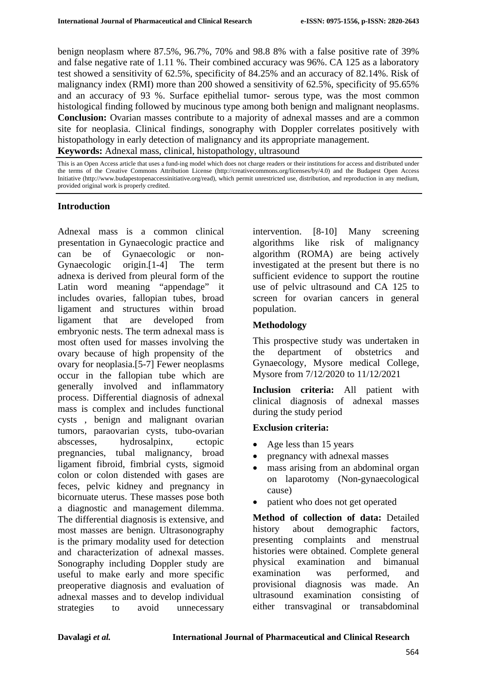benign neoplasm where 87.5%, 96.7%, 70% and 98.8 8% with a false positive rate of 39% and false negative rate of 1.11 %. Their combined accuracy was 96%. CA 125 as a laboratory test showed a sensitivity of 62.5%, specificity of 84.25% and an accuracy of 82.14%. Risk of malignancy index (RMI) more than 200 showed a sensitivity of 62.5%, specificity of 95.65% and an accuracy of 93 %. Surface epithelial tumor- serous type, was the most common histological finding followed by mucinous type among both benign and malignant neoplasms. **Conclusion:** Ovarian masses contribute to a majority of adnexal masses and are a common site for neoplasia. Clinical findings, sonography with Doppler correlates positively with histopathology in early detection of malignancy and its appropriate management. **Keywords:** Adnexal mass, clinical, histopathology, ultrasound

This is an Open Access article that uses a fund-ing model which does not charge readers or their institutions for access and distributed under the terms of the Creative Commons Attribution License (http://creativecommons.org/licenses/by/4.0) and the Budapest Open Access Initiative (http://www.budapestopenaccessinitiative.org/read), which permit unrestricted use, distribution, and reproduction in any medium, provided original work is properly credited.

## **Introduction**

Adnexal mass is a common clinical presentation in Gynaecologic practice and can be of Gynaecologic or non-Gynaecologic origin.[1-4] The term adnexa is derived from pleural form of the Latin word meaning "appendage" it includes ovaries, fallopian tubes, broad ligament and structures within broad ligament that are developed from embryonic nests. The term adnexal mass is most often used for masses involving the ovary because of high propensity of the ovary for neoplasia.[5-7] Fewer neoplasms occur in the fallopian tube which are generally involved and inflammatory process. Differential diagnosis of adnexal mass is complex and includes functional cysts , benign and malignant ovarian tumors, paraovarian cysts, tubo-ovarian abscesses, hydrosalpinx, ectopic pregnancies, tubal malignancy, broad ligament fibroid, fimbrial cysts, sigmoid colon or colon distended with gases are feces, pelvic kidney and pregnancy in bicornuate uterus. These masses pose both a diagnostic and management dilemma. The differential diagnosis is extensive, and most masses are benign. Ultrasonography is the primary modality used for detection and characterization of adnexal masses. Sonography including Doppler study are useful to make early and more specific preoperative diagnosis and evaluation of adnexal masses and to develop individual strategies to avoid unnecessary intervention. [8-10] Many screening algorithms like risk of malignancy algorithm (ROMA) are being actively investigated at the present but there is no sufficient evidence to support the routine use of pelvic ultrasound and CA 125 to screen for ovarian cancers in general population.

## **Methodology**

This prospective study was undertaken in the department of obstetrics and Gynaecology, Mysore medical College, Mysore from 7/12/2020 to 11/12/2021

**Inclusion criteria:** All patient with clinical diagnosis of adnexal masses during the study period

## **Exclusion criteria:**

- Age less than 15 years
- pregnancy with adnexal masses
- mass arising from an abdominal organ on laparotomy (Non-gynaecological cause)
- patient who does not get operated

**Method of collection of data:** Detailed history about demographic factors, presenting complaints and menstrual histories were obtained. Complete general physical examination and bimanual examination was performed, and provisional diagnosis was made. An ultrasound examination consisting of either transvaginal or transabdominal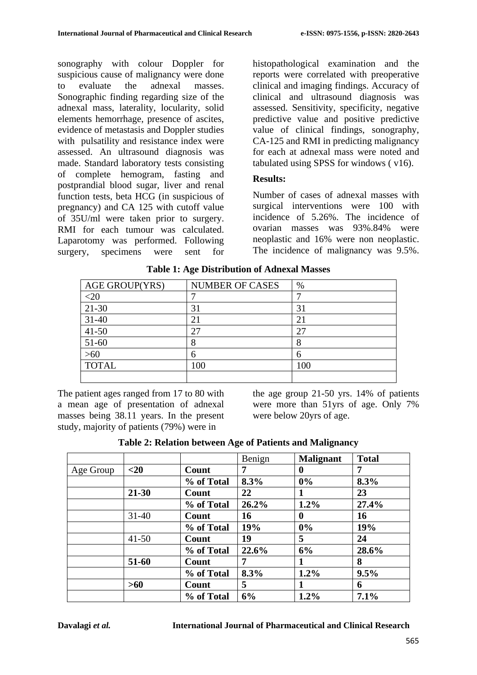sonography with colour Doppler for suspicious cause of malignancy were done to evaluate the adnexal masses. Sonographic finding regarding size of the adnexal mass, laterality, locularity, solid elements hemorrhage, presence of ascites, evidence of metastasis and Doppler studies with pulsatility and resistance index were assessed. An ultrasound diagnosis was made. Standard laboratory tests consisting of complete hemogram, fasting and postprandial blood sugar, liver and renal function tests, beta HCG (in suspicious of pregnancy) and CA 125 with cutoff value of 35U/ml were taken prior to surgery. RMI for each tumour was calculated. Laparotomy was performed. Following surgery, specimens were sent for histopathological examination and the reports were correlated with preoperative clinical and imaging findings. Accuracy of clinical and ultrasound diagnosis was assessed. Sensitivity, specificity, negative predictive value and positive predictive value of clinical findings, sonography, CA-125 and RMI in predicting malignancy for each at adnexal mass were noted and tabulated using SPSS for windows ( v16).

## **Results:**

Number of cases of adnexal masses with surgical interventions were 100 with incidence of 5.26%. The incidence of ovarian masses was 93%.84% were neoplastic and 16% were non neoplastic. The incidence of malignancy was 9.5%.

| AGE GROUP(YRS) | <b>NUMBER OF CASES</b> | $\%$ |
|----------------|------------------------|------|
| -21            |                        |      |
| $21 - 30$      | 31                     | 31   |
| $31 - 40$      | $\overline{2}$         |      |
| $41 - 50$      | 27                     | 27   |
| $51-60$        | 8                      |      |
| $>60$          | 6                      |      |
| <b>TOTAL</b>   | 100                    | 100  |
|                |                        |      |

**Table 1: Age Distribution of Adnexal Masses**

The patient ages ranged from 17 to 80 with a mean age of presentation of adnexal masses being 38.11 years. In the present study, majority of patients (79%) were in

the age group 21-50 yrs. 14% of patients were more than 51yrs of age. Only 7% were below 20yrs of age.

|  |  | Table 2: Relation between Age of Patients and Malignancy |
|--|--|----------------------------------------------------------|
|  |  |                                                          |

|           |           |            | Benign | <b>Malignant</b> | <b>Total</b> |
|-----------|-----------|------------|--------|------------------|--------------|
| Age Group | $20$      | Count      | 7      | 0                | 7            |
|           |           | % of Total | 8.3%   | $0\%$            | 8.3%         |
|           | $21 - 30$ | Count      | 22     |                  | 23           |
|           |           | % of Total | 26.2%  | 1.2%             | 27.4%        |
|           | $31 - 40$ | Count      | 16     | $\mathbf 0$      | 16           |
|           |           | % of Total | 19%    | $0\%$            | 19%          |
|           | $41 - 50$ | Count      | 19     | 5                | 24           |
|           |           | % of Total | 22.6%  | 6%               | 28.6%        |
|           | 51-60     | Count      | 7      |                  | 8            |
|           |           | % of Total | 8.3%   | $1.2\%$          | 9.5%         |
|           | $>60$     | Count      | 5      |                  | 6            |
|           |           | % of Total | 6%     | 1.2%             | 7.1%         |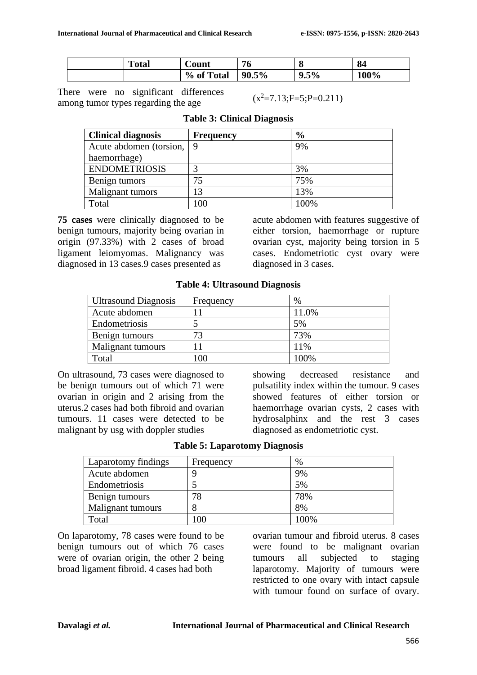| <b>Total</b> | Count      | 76            | $\mathbf{o}$           | 84   |
|--------------|------------|---------------|------------------------|------|
|              | % of Total | $5\%$<br>90.5 | $9.5\%$<br>$\mathbf o$ | 100% |

There were no significant differences among tumor types regarding the age

 $(x^2=7.13;F=5;P=0.211)$ 

| <b>Clinical diagnosis</b> | <b>Frequency</b> | $\frac{6}{9}$ |
|---------------------------|------------------|---------------|
| Acute abdomen (torsion,   | $\overline{Q}$   | 9%            |
| haemorrhage)              |                  |               |
| <b>ENDOMETRIOSIS</b>      |                  | 3%            |
| Benign tumors             | 75               | 75%           |
| Malignant tumors          | 13               | 13%           |
| Total                     | 100              | 100%          |

#### **Table 3: Clinical Diagnosis**

**75 cases** were clinically diagnosed to be benign tumours, majority being ovarian in origin (97.33%) with 2 cases of broad ligament leiomyomas. Malignancy was diagnosed in 13 cases.9 cases presented as

acute abdomen with features suggestive of either torsion, haemorrhage or rupture ovarian cyst, majority being torsion in 5 cases. Endometriotic cyst ovary were diagnosed in 3 cases.

| <b>Ultrasound Diagnosis</b> | Frequency | $\%$  |
|-----------------------------|-----------|-------|
| Acute abdomen               |           | 11.0% |
| Endometriosis               |           | 5%    |
| Benign tumours              | 73        | 73%   |
| Malignant tumours           |           | 11%   |
| Total                       | 100       | 100%  |

**Table 4: Ultrasound Diagnosis**

On ultrasound, 73 cases were diagnosed to be benign tumours out of which 71 were ovarian in origin and 2 arising from the uterus.2 cases had both fibroid and ovarian tumours. 11 cases were detected to be malignant by usg with doppler studies

showing decreased resistance and pulsatility index within the tumour. 9 cases showed features of either torsion or haemorrhage ovarian cysts, 2 cases with hydrosalphinx and the rest 3 cases diagnosed as endometriotic cyst.

| <b>Table 5: Laparotomy Diagnosis</b> |  |
|--------------------------------------|--|
|--------------------------------------|--|

| Laparotomy findings | Frequency | $\%$ |
|---------------------|-----------|------|
| Acute abdomen       |           | 9%   |
| Endometriosis       |           | 5%   |
| Benign tumours      | 78        | 78%  |
| Malignant tumours   |           | 8%   |
| Total               | 100       | 100% |

On laparotomy, 78 cases were found to be benign tumours out of which 76 cases were of ovarian origin, the other 2 being broad ligament fibroid. 4 cases had both

ovarian tumour and fibroid uterus. 8 cases were found to be malignant ovarian tumours all subjected to staging laparotomy. Majority of tumours were restricted to one ovary with intact capsule with tumour found on surface of ovary.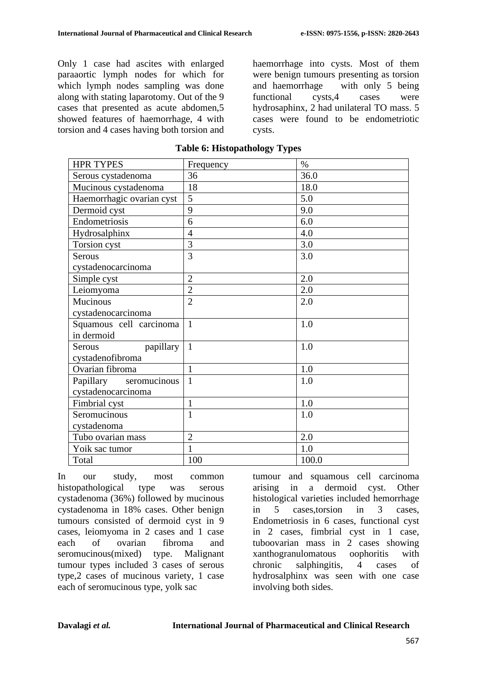Only 1 case had ascites with enlarged paraaortic lymph nodes for which for which lymph nodes sampling was done along with stating laparotomy. Out of the 9 cases that presented as acute abdomen,5 showed features of haemorrhage, 4 with torsion and 4 cases having both torsion and haemorrhage into cysts. Most of them were benign tumours presenting as torsion and haemorrhage with only 5 being functional cysts,4 cases were hydrosaphinx, 2 had unilateral TO mass. 5 cases were found to be endometriotic cysts.

| <b>HPR TYPES</b>           | Frequency      | $\%$    |
|----------------------------|----------------|---------|
| Serous cystadenoma         | 36             | 36.0    |
| Mucinous cystadenoma       | 18             | 18.0    |
| Haemorrhagic ovarian cyst  | 5              | 5.0     |
| Dermoid cyst               | 9              | 9.0     |
| Endometriosis              | 6              | 6.0     |
| Hydrosalphinx              | $\overline{4}$ | 4.0     |
| Torsion cyst               | 3              | $3.0\,$ |
| <b>Serous</b>              | 3              | 3.0     |
| cystadenocarcinoma         |                |         |
| Simple cyst                | $\overline{2}$ | 2.0     |
| Leiomyoma                  | $\overline{2}$ | 2.0     |
| Mucinous                   | $\overline{2}$ | 2.0     |
| cystadenocarcinoma         |                |         |
| Squamous cell carcinoma    | $\mathbf{1}$   | 1.0     |
| in dermoid                 |                |         |
| papillary<br><b>Serous</b> | $\mathbf{1}$   | 1.0     |
| cystadenofibroma           |                |         |
| Ovarian fibroma            | 1              | 1.0     |
| Papillary<br>seromucinous  | $\mathbf{1}$   | 1.0     |
| cystadenocarcinoma         |                |         |
| Fimbrial cyst              | $\mathbf{1}$   | 1.0     |
| Seromucinous               | $\mathbf{1}$   | 1.0     |
| cystadenoma                |                |         |
| Tubo ovarian mass          | $\overline{2}$ | 2.0     |
| Yoik sac tumor             | $\mathbf{1}$   | 1.0     |
| Total                      | 100            | 100.0   |

| <b>Table 6: Histopathology Types</b> |  |  |  |  |  |  |
|--------------------------------------|--|--|--|--|--|--|
|--------------------------------------|--|--|--|--|--|--|

In our study, most common histopathological type was serous cystadenoma (36%) followed by mucinous cystadenoma in 18% cases. Other benign tumours consisted of dermoid cyst in 9 cases, leiomyoma in 2 cases and 1 case each of ovarian fibroma and seromucinous(mixed) type. Malignant tumour types included 3 cases of serous type,2 cases of mucinous variety, 1 case each of seromucinous type, yolk sac

tumour and squamous cell carcinoma arising in a dermoid cyst. Other histological varieties included hemorrhage in 5 cases,torsion in 3 cases, Endometriosis in 6 cases, functional cyst in 2 cases, fimbrial cyst in 1 case, tuboovarian mass in 2 cases showing xanthogranulomatous oophoritis with chronic salphingitis, 4 cases of hydrosalphinx was seen with one case involving both sides.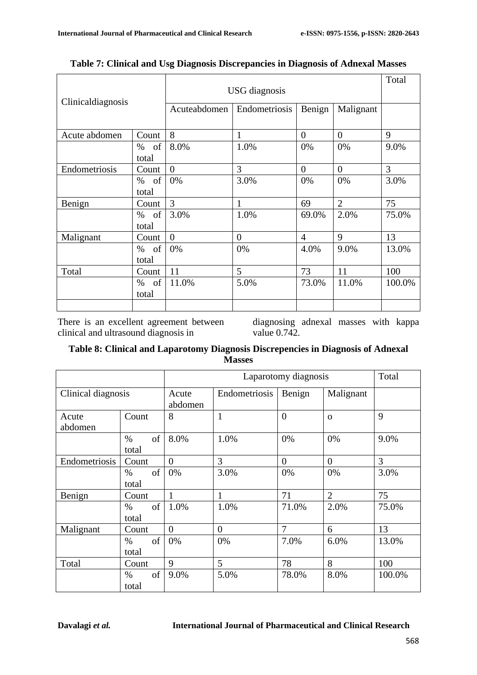÷.

| Clinicaldiagnosis |                     | <b>USG</b> diagnosis | Total                                |                |                |        |
|-------------------|---------------------|----------------------|--------------------------------------|----------------|----------------|--------|
|                   |                     | Acuteabdomen         | Benign<br>Endometriosis<br>Malignant |                |                |        |
| Acute abdomen     | Count               | 8                    | 1                                    | $\theta$       | $\theta$       | 9      |
|                   | of<br>%<br>total    | 8.0%                 | 1.0%                                 | 0%             | 0%             | 9.0%   |
| Endometriosis     | Count               | $\theta$             | 3                                    | $\theta$       | $\overline{0}$ | 3      |
|                   | of<br>$\%$<br>total | 0%                   | 3.0%                                 | 0%             | 0%             | 3.0%   |
| Benign            | Count               | 3                    | 1                                    | 69             | $\overline{2}$ | 75     |
|                   | $\%$<br>of<br>total | 3.0%                 | 1.0%                                 | 69.0%          | 2.0%           | 75.0%  |
| Malignant         | Count               | $\Omega$             | $\overline{0}$                       | $\overline{4}$ | 9              | 13     |
|                   | % of<br>total       | 0%                   | 0%                                   | 4.0%           | 9.0%           | 13.0%  |
| Total             | Count               | 11                   | 5                                    | 73             | 11             | 100    |
|                   | of<br>%<br>total    | 11.0%                | 5.0%                                 | 73.0%          | 11.0%          | 100.0% |
|                   |                     |                      |                                      |                |                |        |

|  |  |  |  |  | Table 7: Clinical and Usg Diagnosis Discrepancies in Diagnosis of Adnexal Masses |
|--|--|--|--|--|----------------------------------------------------------------------------------|
|--|--|--|--|--|----------------------------------------------------------------------------------|

There is an excellent agreement between clinical and ultrasound diagnosis in

diagnosing adnexal masses with kappa value 0.742.

## **Table 8: Clinical and Laparotomy Diagnosis Discrepencies in Diagnosis of Adnexal Masses**

|                    |                     | Laparotomy diagnosis |                |                |                | Total  |
|--------------------|---------------------|----------------------|----------------|----------------|----------------|--------|
| Clinical diagnosis |                     | Acute<br>abdomen     | Endometriosis  | Benign         | Malignant      |        |
| Acute<br>abdomen   | Count               | 8                    | $\mathbf{1}$   | $\overline{0}$ | $\Omega$       | 9      |
|                    | of<br>$\%$<br>total | 8.0%                 | 1.0%           | 0%             | 0%             | 9.0%   |
| Endometriosis      | Count               | $\Omega$             | 3              | $\theta$       | $\overline{0}$ | 3      |
|                    | of<br>$\%$<br>total | 0%                   | 3.0%           | 0%             | 0%             | 3.0%   |
| Benign             | Count               | 1                    | 1              | 71             | $\overline{2}$ | 75     |
|                    | of<br>$\%$<br>total | 1.0%                 | 1.0%           | 71.0%          | 2.0%           | 75.0%  |
| Malignant          | Count               | $\overline{0}$       | $\overline{0}$ | $\overline{7}$ | 6              | 13     |
|                    | of<br>$\%$<br>total | 0%                   | 0%             | 7.0%           | 6.0%           | 13.0%  |
| Total              | Count               | 9                    | 5              | 78             | 8              | 100    |
|                    | of<br>$\%$<br>total | 9.0%                 | 5.0%           | 78.0%          | 8.0%           | 100.0% |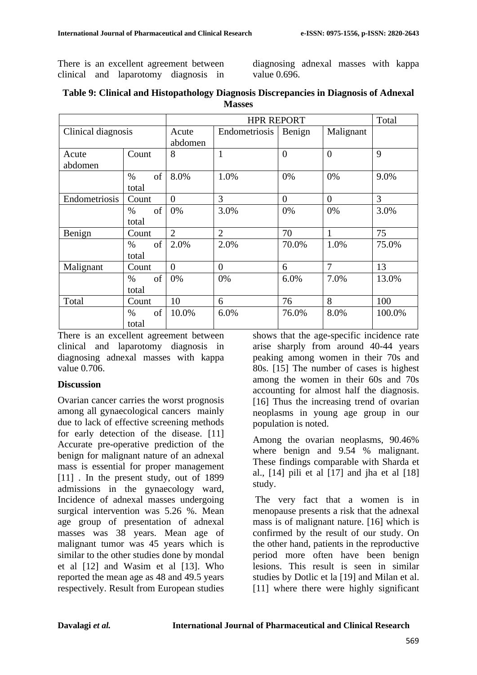There is an excellent agreement between clinical and laparotomy diagnosis in diagnosing adnexal masses with kappa value 0.696.

|                    |                     | <b>HPR REPORT</b> |                | Total          |                |        |
|--------------------|---------------------|-------------------|----------------|----------------|----------------|--------|
| Clinical diagnosis |                     | Acute<br>abdomen  | Endometriosis  | Benign         | Malignant      |        |
| Acute<br>abdomen   | Count               | 8                 | $\mathbf{1}$   | $\overline{0}$ | $\overline{0}$ | 9      |
|                    | of<br>$\%$<br>total | 8.0%              | 1.0%           | 0%             | 0%             | 9.0%   |
| Endometriosis      | Count               | $\overline{0}$    | 3              | $\overline{0}$ | $\overline{0}$ | 3      |
|                    | of<br>$\%$<br>total | 0%                | 3.0%           | 0%             | 0%             | 3.0%   |
| Benign             | Count               | $\overline{2}$    | $\overline{2}$ | 70             | 1              | 75     |
|                    | of<br>$\%$<br>total | 2.0%              | 2.0%           | 70.0%          | 1.0%           | 75.0%  |
| Malignant          | Count               | $\theta$          | $\theta$       | 6              | $\overline{7}$ | 13     |
|                    | of<br>$\%$<br>total | 0%                | 0%             | 6.0%           | 7.0%           | 13.0%  |
| Total              | Count               | 10                | 6              | 76             | 8              | 100    |
|                    | of<br>$\%$<br>total | 10.0%             | 6.0%           | 76.0%          | 8.0%           | 100.0% |

| Table 9: Clinical and Histopathology Diagnosis Discrepancies in Diagnosis of Adnexal |
|--------------------------------------------------------------------------------------|
| <b>Masses</b>                                                                        |

There is an excellent agreement between clinical and laparotomy diagnosis in diagnosing adnexal masses with kappa value 0.706.

#### **Discussion**

Ovarian cancer carries the worst prognosis among all gynaecological cancers mainly due to lack of effective screening methods for early detection of the disease. [11] Accurate pre-operative prediction of the benign for malignant nature of an adnexal mass is essential for proper management [11]. In the present study, out of 1899 admissions in the gynaecology ward, Incidence of adnexal masses undergoing surgical intervention was 5.26 %. Mean age group of presentation of adnexal masses was 38 years. Mean age of malignant tumor was 45 years which is similar to the other studies done by mondal et al [12] and Wasim et al [13]. Who reported the mean age as 48 and 49.5 years respectively. Result from European studies shows that the age-specific incidence rate arise sharply from around 40-44 years peaking among women in their 70s and 80s. [15] The number of cases is highest among the women in their 60s and 70s accounting for almost half the diagnosis. [16] Thus the increasing trend of ovarian neoplasms in young age group in our population is noted.

Among the ovarian neoplasms, 90.46% where benign and 9.54 % malignant. These findings comparable with Sharda et al.,  $[14]$  pili et al  $[17]$  and jha et al  $[18]$ study.

The very fact that a women is in menopause presents a risk that the adnexal mass is of malignant nature. [16] which is confirmed by the result of our study. On the other hand, patients in the reproductive period more often have been benign lesions. This result is seen in similar studies by Dotlic et la [19] and Milan et al. [11] where there were highly significant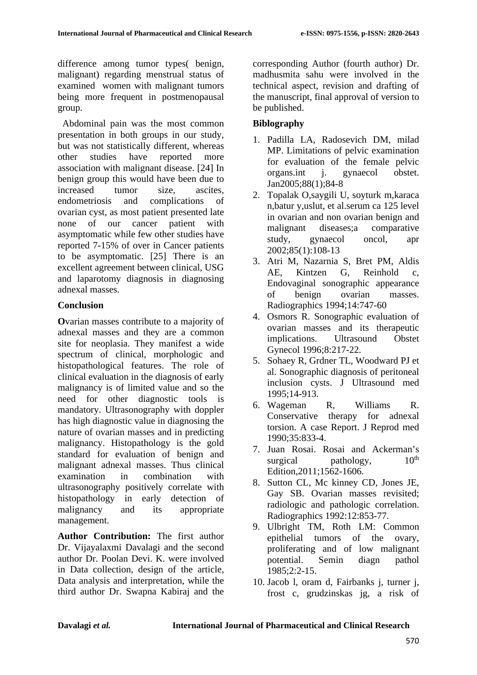difference among tumor types( benign, malignant) regarding menstrual status of examined women with malignant tumors being more frequent in postmenopausal group.

 Abdominal pain was the most common presentation in both groups in our study, but was not statistically different, whereas other studies have reported more association with malignant disease. [24] In benign group this would have been due to increased tumor size, ascites, endometriosis and complications of ovarian cyst, as most patient presented late none of our cancer patient with asymptomatic while few other studies have reported 7-15% of over in Cancer patients to be asymptomatic. [25] There is an excellent agreement between clinical, USG and laparotomy diagnosis in diagnosing adnexal masses.

#### **Conclusion**

**O**varian masses contribute to a majority of adnexal masses and they are a common site for neoplasia. They manifest a wide spectrum of clinical, morphologic and histopathological features. The role of clinical evaluation in the diagnosis of early malignancy is of limited value and so the need for other diagnostic tools is mandatory. Ultrasonography with doppler has high diagnostic value in diagnosing the nature of ovarian masses and in predicting malignancy. Histopathology is the gold standard for evaluation of benign and malignant adnexal masses. Thus clinical examination in combination with ultrasonography positively correlate with histopathology in early detection of malignancy and its appropriate management.

**Author Contribution:** The first author Dr. Vijayalaxmi Davalagi and the second author Dr. Poolan Devi. K. were involved in Data collection, design of the article, Data analysis and interpretation, while the third author Dr. Swapna Kabiraj and the corresponding Author (fourth author) Dr. madhusmita sahu were involved in the technical aspect, revision and drafting of the manuscript, final approval of version to be published.

## **Biblography**

- 1. Padilla LA, Radosevich DM, milad MP. Limitations of pelvic examination for evaluation of the female pelvic organs.int j. gynaecol obstet. Jan2005;88(1);84-8
- 2. Topalak O,saygili U, soyturk m,karaca n,batur y,uslut, et al.serum ca 125 level in ovarian and non ovarian benign and malignant diseases;a comparative study, gynaecol oncol, apr 2002;85(1):108-13
- 3. Atri M, Nazarnia S, Bret PM, Aldis AE, Kintzen G, Reinhold c, Endovaginal sonographic appearance of benign ovarian masses. Radiographics 1994;14:747-60
- 4. Osmors R. Sonographic evaluation of ovarian masses and its therapeutic implications. Ultrasound Obstet Gynecol 1996;8:217-22.
- 5. Sohaey R, Grdner TL, Woodward PJ et al. Sonographic diagnosis of peritoneal inclusion cysts. J Ultrasound med 1995;14-913.
- 6. Wageman R, Williams R. Conservative therapy for adnexal torsion. A case Report. J Reprod med 1990;35:833-4.
- 7. Juan Rosai. Rosai and Ackerman's surgical pathology,  $10^{th}$ Edition,2011;1562-1606.
- 8. Sutton CL, Mc kinney CD, Jones JE, Gay SB. Ovarian masses revisited; radiologic and pathologic correlation. Radiographics 1992:12:853-77.
- 9. Ulbright TM, Roth LM: Common epithelial tumors of the ovary, proliferating and of low malignant potential. Semin diagn pathol 1985;2:2-15.
- 10. Jacob l, oram d, Fairbanks j, turner j, frost c, grudzinskas jg, a risk of